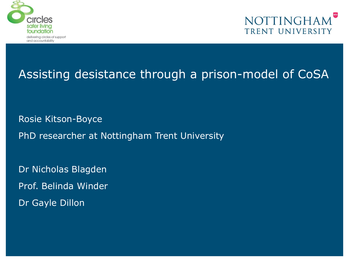



Rosie Kitson-Boyce PhD researcher at Nottingham Trent University

Dr Nicholas Blagden

Prof. Belinda Winder

Dr Gayle Dillon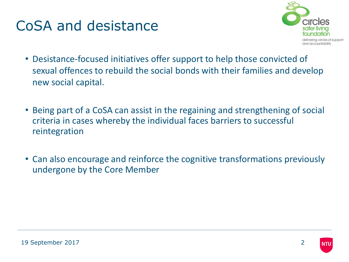### CoSA and desistance



- Desistance-focused initiatives offer support to help those convicted of sexual offences to rebuild the social bonds with their families and develop new social capital.
- Being part of a CoSA can assist in the regaining and strengthening of social criteria in cases whereby the individual faces barriers to successful reintegration
- Can also encourage and reinforce the cognitive transformations previously undergone by the Core Member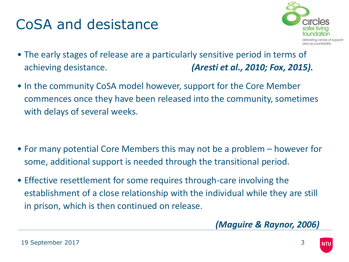### CoSA and desistance



- The early stages of release are a particularly sensitive period in terms of achieving desistance. *(Aresti et al., 2010; Fox, 2015).*
- In the community CoSA model however, support for the Core Member commences once they have been released into the community, sometimes with delays of several weeks.

- For many potential Core Members this may not be a problem however for some, additional support is needed through the transitional period.
- Effective resettlement for some requires through-care involving the establishment of a close relationship with the individual while they are still in prison, which is then continued on release.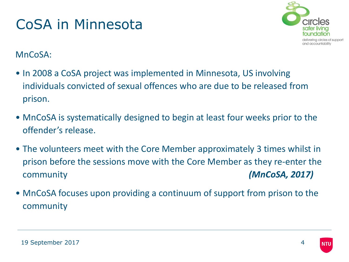### CoSA in Minnesota



#### MnCoSA:

- In 2008 a CoSA project was implemented in Minnesota, US involving individuals convicted of sexual offences who are due to be released from prison.
- MnCoSA is systematically designed to begin at least four weeks prior to the offender's release.
- The volunteers meet with the Core Member approximately 3 times whilst in prison before the sessions move with the Core Member as they re-enter the community *(MnCoSA, 2017)*
- MnCoSA focuses upon providing a continuum of support from prison to the community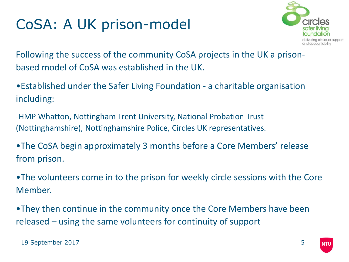

Following the success of the community CoSA projects in the UK a prisonbased model of CoSA was established in the UK.

•Established under the Safer Living Foundation - a charitable organisation including:

-HMP Whatton, Nottingham Trent University, National Probation Trust (Nottinghamshire), Nottinghamshire Police, Circles UK representatives.

•The CoSA begin approximately 3 months before a Core Members' release from prison.

•The volunteers come in to the prison for weekly circle sessions with the Core Member.

•They then continue in the community once the Core Members have been released – using the same volunteers for continuity of support

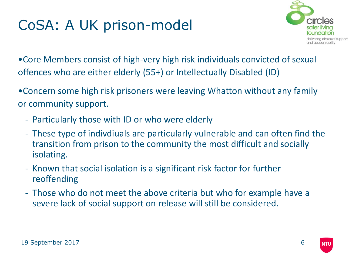

•Core Members consist of high-very high risk individuals convicted of sexual offences who are either elderly (55+) or Intellectually Disabled (ID)

•Concern some high risk prisoners were leaving Whatton without any family or community support.

- Particularly those with ID or who were elderly
- These type of indivdiuals are particularly vulnerable and can often find the transition from prison to the community the most difficult and socially isolating.
- Known that social isolation is a significant risk factor for further reoffending
- Those who do not meet the above criteria but who for example have a severe lack of social support on release will still be considered.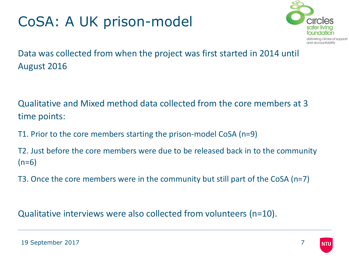

Data was collected from when the project was first started in 2014 until August 2016

Qualitative and Mixed method data collected from the core members at 3 time points:

T1. Prior to the core members starting the prison-model CoSA (n=9)

T2. Just before the core members were due to be released back in to the community  $(n=6)$ 

T3. Once the core members were in the community but still part of the CoSA (n=7)

Qualitative interviews were also collected from volunteers (n=10).

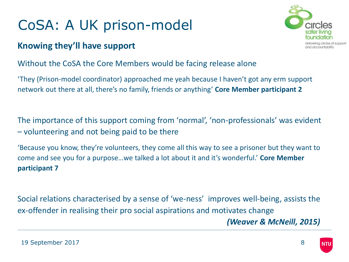#### **Knowing they'll have support**



#### Without the CoSA the Core Members would be facing release alone

'They (Prison-model coordinator) approached me yeah because I haven't got any erm support network out there at all, there's no family, friends or anything' **Core Member participant 2**

The importance of this support coming from 'normal', 'non-professionals' was evident – volunteering and not being paid to be there

'Because you know, they're volunteers, they come all this way to see a prisoner but they want to come and see you for a purpose…we talked a lot about it and it's wonderful.' **Core Member participant 7**

Social relations characterised by a sense of 'we-ness' improves well-being, assists the ex-offender in realising their pro social aspirations and motivates change *(Weaver & McNeill, 2015)*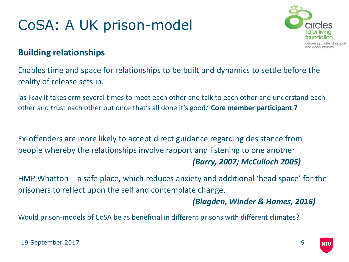

#### **Building relationships**

Enables time and space for relationships to be built and dynamics to settle before the reality of release sets in.

'as I say it takes erm several times to meet each other and talk to each other and understand each other and trust each other but once that's all done it's good.' **Core member participant 7**

Ex-offenders are more likely to accept direct guidance regarding desistance from people whereby the relationships involve rapport and listening to one another *(Barry, 2007; McCulloch 2005)* 

HMP Whatton - a safe place, which reduces anxiety and additional 'head space' for the prisoners to reflect upon the self and contemplate change.

*(Blagden, Winder & Hames, 2016)*

Would prison-models of CoSA be as beneficial in different prisons with different climates?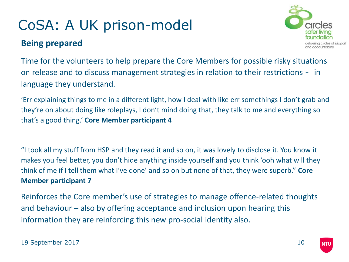#### **Being prepared**



Time for the volunteers to help prepare the Core Members for possible risky situations on release and to discuss management strategies in relation to their restrictions - in language they understand.

'Err explaining things to me in a different light, how I deal with like err somethings I don't grab and they're on about doing like roleplays, I don't mind doing that, they talk to me and everything so that's a good thing.' **Core Member participant 4**

"I took all my stuff from HSP and they read it and so on, it was lovely to disclose it. You know it makes you feel better, you don't hide anything inside yourself and you think 'ooh what will they think of me if I tell them what I've done' and so on but none of that, they were superb." **Core Member participant 7**

Reinforces the Core member's use of strategies to manage offence-related thoughts and behaviour – also by offering acceptance and inclusion upon hearing this information they are reinforcing this new pro-social identity also.

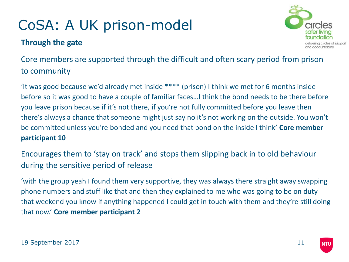#### **Through the gate**



Core members are supported through the difficult and often scary period from prison to community

'It was good because we'd already met inside \*\*\*\* (prison) I think we met for 6 months inside before so it was good to have a couple of familiar faces…I think the bond needs to be there before you leave prison because if it's not there, if you're not fully committed before you leave then there's always a chance that someone might just say no it's not working on the outside. You won't be committed unless you're bonded and you need that bond on the inside I think' **Core member participant 10**

Encourages them to 'stay on track' and stops them slipping back in to old behaviour during the sensitive period of release

'with the group yeah I found them very supportive, they was always there straight away swapping phone numbers and stuff like that and then they explained to me who was going to be on duty that weekend you know if anything happened I could get in touch with them and they're still doing that now.' **Core member participant 2**

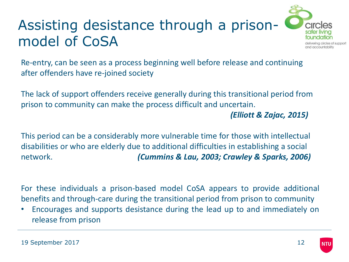

Re-entry, can be seen as a process beginning well before release and continuing after offenders have re-joined society

The lack of support offenders receive generally during this transitional period from prison to community can make the process difficult and uncertain.

*(Elliott & Zajac, 2015)* 

This period can be a considerably more vulnerable time for those with intellectual disabilities or who are elderly due to additional difficulties in establishing a social network. *(Cummins & Lau, 2003; Crawley & Sparks, 2006)*

For these individuals a prison-based model CoSA appears to provide additional benefits and through-care during the transitional period from prison to community

• Encourages and supports desistance during the lead up to and immediately on release from prison

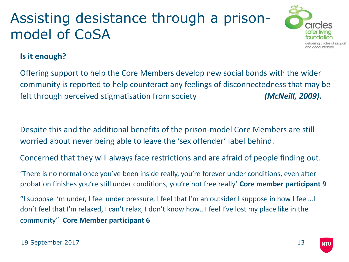

#### **Is it enough?**

Offering support to help the Core Members develop new social bonds with the wider community is reported to help counteract any feelings of disconnectedness that may be felt through perceived stigmatisation from society *(McNeill, 2009).*

Despite this and the additional benefits of the prison-model Core Members are still worried about never being able to leave the 'sex offender' label behind.

Concerned that they will always face restrictions and are afraid of people finding out.

'There is no normal once you've been inside really, you're forever under conditions, even after probation finishes you're still under conditions, you're not free really' **Core member participant 9**

"I suppose I'm under, I feel under pressure, I feel that I'm an outsider I suppose in how I feel…I don't feel that I'm relaxed, I can't relax, I don't know how…I feel I've lost my place like in the community" **Core Member participant 6**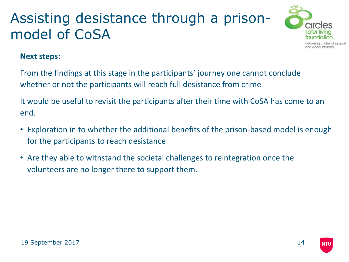

#### **Next steps:**

From the findings at this stage in the participants' journey one cannot conclude whether or not the participants will reach full desistance from crime

It would be useful to revisit the participants after their time with CoSA has come to an end.

- Exploration in to whether the additional benefits of the prison-based model is enough for the participants to reach desistance
- Are they able to withstand the societal challenges to reintegration once the volunteers are no longer there to support them.

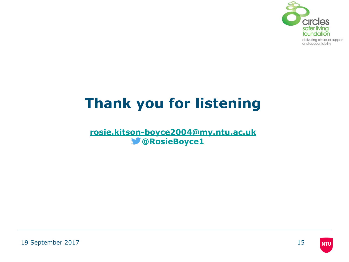

# **Thank you for listening**

**[rosie.kitson-boyce2004@my.ntu.ac.uk](mailto:rosie.kitson-boyce2004@my.ntu.ac.uk) @RosieBoyce1**

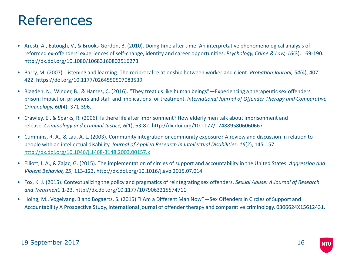#### References

- Aresti, A., Eatough, V., & Brooks-Gordon, B. (2010). Doing time after time: An interpretative phenomenological analysis of reformed ex-offenders' experiences of self-change, identity and career opportunities. *Psychology, Crime & Law, 16*(3), 169-190. http://dx.doi.org/10.1080/10683160802516273
- Barry, M. (2007). Listening and learning: The reciprocal relationship between worker and client. *Probation Journal, 54*(4), 407- 422. https://doi.org/10.1177/0264550507083539
- Blagden, N., Winder, B., & Hames, C. (2016). "They treat us like human beings"—Experiencing a therapeutic sex offenders prison: Impact on prisoners and staff and implications for treatment. *International Journal of Offender Therapy and Comparative Criminology, 60*(4), 371-396.
- Crawley, E., & Sparks, R. (2006). Is there life after imprisonment? How elderly men talk about imprisonment and release. *Criminology and Criminal Justice, 6*(1), 63-82. http://dx.doi.org/10.1177/1748895806060667
- Cummins, R. A., & Lau, A. L. (2003). Community integration or community exposure? A review and discussion in relation to people with an intellectual disability. *Journal of Applied Research in Intellectual Disabilities, 16*(2), 145-157. <http://dx.doi.org/10.1046/j.1468-3148.2003.00157.x>
- Elliott, I. A., & Zajac, G. (2015). The implementation of circles of support and accountability in the United States. *Aggression and Violent Behavior, 25*, 113-123. http://dx.doi.org/10.1016/j.avb.2015.07.014
- Fox, K. J. (2015). Contextualizing the policy and pragmatics of reintegrating sex offenders. *Sexual Abuse: A Journal of Research and Treatment,* 1-23. http://dx.doi.org/10.1177/1079063215574711
- Höing, M., Vogelvang, B and Bogaerts, S. (2015) "I Am a Different Man Now"—Sex Offenders in Circles of Support and Accountability A Prospective Study, International journal of offender therapy and comparative criminology, 0306624X15612431.